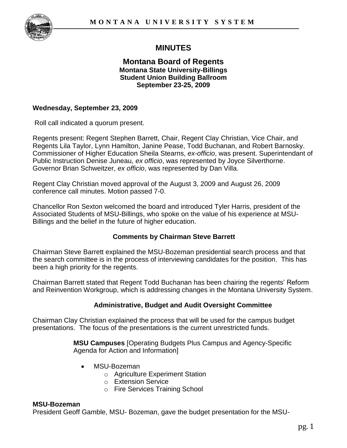

# **MINUTES**

#### **Montana Board of Regents Montana State University-Billings Student Union Building Ballroom September 23-25, 2009**

#### **Wednesday, September 23, 2009**

Roll call indicated a quorum present.

Regents present: Regent Stephen Barrett, Chair, Regent Clay Christian, Vice Chair, and Regents Lila Taylor, Lynn Hamilton, Janine Pease, Todd Buchanan, and Robert Barnosky. Commissioner of Higher Education Sheila Stearns, *ex-officio*, was present. Superintendant of Public Instruction Denise Juneau, *ex officio*, was represented by Joyce Silverthorne. Governor Brian Schweitzer, *ex officio*, was represented by Dan Villa.

Regent Clay Christian moved approval of the August 3, 2009 and August 26, 2009 conference call minutes. Motion passed 7-0.

Chancellor Ron Sexton welcomed the board and introduced Tyler Harris, president of the Associated Students of MSU-Billings, who spoke on the value of his experience at MSU-Billings and the belief in the future of higher education.

#### **Comments by Chairman Steve Barrett**

Chairman Steve Barrett explained the MSU-Bozeman presidential search process and that the search committee is in the process of interviewing candidates for the position. This has been a high priority for the regents.

Chairman Barrett stated that Regent Todd Buchanan has been chairing the regents" Reform and Reinvention Workgroup, which is addressing changes in the Montana University System.

#### **Administrative, Budget and Audit Oversight Committee**

Chairman Clay Christian explained the process that will be used for the campus budget presentations. The focus of the presentations is the current unrestricted funds.

> **MSU Campuses** [Operating Budgets Plus Campus and Agency-Specific Agenda for Action and Information]

- MSU-Bozeman
	- o Agriculture Experiment Station
	- o Extension Service
	- o Fire Services Training School

#### **MSU-Bozeman**

President Geoff Gamble, MSU- Bozeman, gave the budget presentation for the MSU-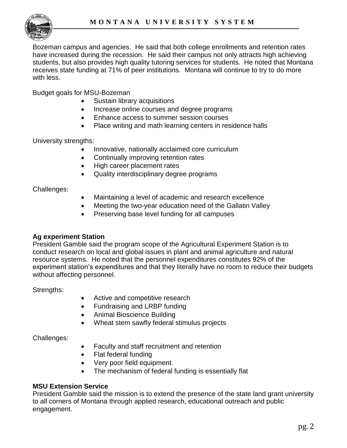

Bozeman campus and agencies. He said that both college enrollments and retention rates have increased during the recession. He said their campus not only attracts high achieving students, but also provides high quality tutoring services for students. He noted that Montana receives state funding at 71% of peer institutions. Montana will continue to try to do more with less.

Budget goals for MSU-Bozeman

- Sustain library acquisitions
- Increase online courses and degree programs
- Enhance access to summer session courses
- Place writing and math learning centers in residence halls

University strengths:

- Innovative, nationally acclaimed core curriculum
- Continually improving retention rates
- High career placement rates
- Quality interdisciplinary degree programs

Challenges:

- Maintaining a level of academic and research excellence
- Meeting the two-year education need of the Gallatin Valley
- Preserving base level funding for all campuses

#### **Ag experiment Station**

President Gamble said the program scope of the Agricultural Experiment Station is to conduct research on local and global issues in plant and animal agriculture and natural resource systems. He noted that the personnel expenditures constitutes 92% of the experiment station's expenditures and that they literally have no room to reduce their budgets without affecting personnel.

Strengths:

- Active and competitive research
- Fundraising and LRBP funding
- Animal Bioscience Building
- Wheat stem sawfly federal stimulus projects

Challenges:

- Faculty and staff recruitment and retention
- Flat federal funding
- Very poor field equipment.
- The mechanism of federal funding is essentially flat

#### **MSU Extension Service**

President Gamble said the mission is to extend the presence of the state land grant university to all corners of Montana through applied research, educational outreach and public engagement.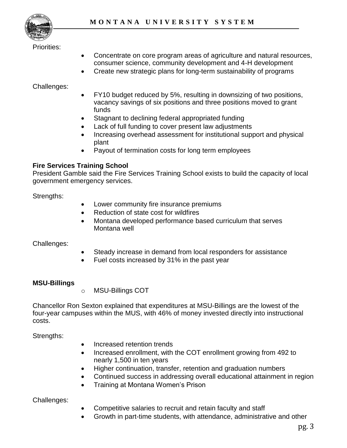

#### Priorities:

- Concentrate on core program areas of agriculture and natural resources, consumer science, community development and 4-H development
- Create new strategic plans for long-term sustainability of programs

### Challenges:

- FY10 budget reduced by 5%, resulting in downsizing of two positions, vacancy savings of six positions and three positions moved to grant funds
- Stagnant to declining federal appropriated funding
- Lack of full funding to cover present law adjustments
- Increasing overhead assessment for institutional support and physical plant
- Payout of termination costs for long term employees

# **Fire Services Training School**

President Gamble said the Fire Services Training School exists to build the capacity of local government emergency services.

Strengths:

- Lower community fire insurance premiums
- Reduction of state cost for wildfires
- Montana developed performance based curriculum that serves Montana well

#### Challenges:

- Steady increase in demand from local responders for assistance
- Fuel costs increased by 31% in the past year

#### **MSU-Billings**

o MSU-Billings COT

Chancellor Ron Sexton explained that expenditures at MSU-Billings are the lowest of the four-year campuses within the MUS, with 46% of money invested directly into instructional costs.

Strengths:

- Increased retention trends
- Increased enrollment, with the COT enrollment growing from 492 to nearly 1,500 in ten years
- Higher continuation, transfer, retention and graduation numbers
- Continued success in addressing overall educational attainment in region
- Training at Montana Women"s Prison

Challenges:

- Competitive salaries to recruit and retain faculty and staff
- Growth in part-time students, with attendance, administrative and other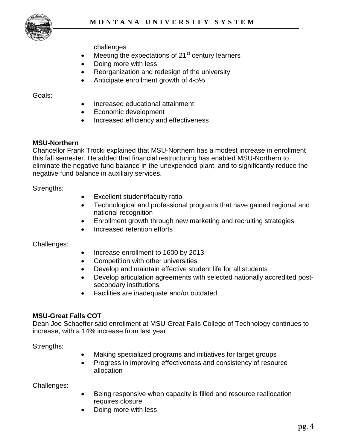

challenges

- $\bullet$  Meeting the expectations of 21<sup>st</sup> century learners
- Doing more with less
- Reorganization and redesign of the university
- Anticipate enrollment growth of 4-5%

Goals:

- Increased educational attainment
- Economic development
- Increased efficiency and effectiveness

#### **MSU-Northern**

Chancellor Frank Trocki explained that MSU-Northern has a modest increase in enrollment this fall semester. He added that financial restructuring has enabled MSU-Northern to eliminate the negative fund balance in the unexpended plant, and to significantly reduce the negative fund balance in auxiliary services.

Strengths:

- Excellent student/faculty ratio
- Technological and professional programs that have gained regional and national recognition
- Enrollment growth through new marketing and recruiting strategies
- Increased retention efforts

Challenges:

- Increase enrollment to 1600 by 2013
- Competition with other universities
- Develop and maintain effective student life for all students
- Develop articulation agreements with selected nationally accredited postsecondary institutions
- Facilities are inadequate and/or outdated.

# **MSU-Great Falls COT**

Dean Joe Schaeffer said enrollment at MSU-Great Falls College of Technology continues to increase, with a 14% increase from last year.

Strengths:

- Making specialized programs and initiatives for target groups
- Progress in improving effectiveness and consistency of resource allocation

Challenges:

- Being responsive when capacity is filled and resource reallocation requires closure
- Doing more with less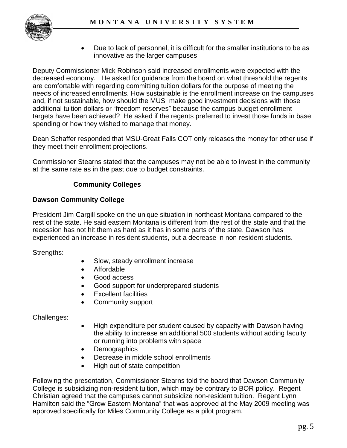

 Due to lack of personnel, it is difficult for the smaller institutions to be as innovative as the larger campuses

Deputy Commissioner Mick Robinson said increased enrollments were expected with the decreased economy. He asked for guidance from the board on what threshold the regents are comfortable with regarding committing tuition dollars for the purpose of meeting the needs of increased enrollments. How sustainable is the enrollment increase on the campuses and, if not sustainable, how should the MUS make good investment decisions with those additional tuition dollars or "freedom reserves" because the campus budget enrollment targets have been achieved? He asked if the regents preferred to invest those funds in base spending or how they wished to manage that money.

Dean Schaffer responded that MSU-Great Falls COT only releases the money for other use if they meet their enrollment projections.

Commissioner Stearns stated that the campuses may not be able to invest in the community at the same rate as in the past due to budget constraints.

# **Community Colleges**

# **Dawson Community College**

President Jim Cargill spoke on the unique situation in northeast Montana compared to the rest of the state. He said eastern Montana is different from the rest of the state and that the recession has not hit them as hard as it has in some parts of the state. Dawson has experienced an increase in resident students, but a decrease in non-resident students.

Strengths:

- Slow, steady enrollment increase
- Affordable
- Good access
- Good support for underprepared students
- Excellent facilities
- Community support

#### Challenges:

- High expenditure per student caused by capacity with Dawson having the ability to increase an additional 500 students without adding faculty or running into problems with space
- **Demographics**
- Decrease in middle school enrollments
- High out of state competition

Following the presentation, Commissioner Stearns told the board that Dawson Community College is subsidizing non-resident tuition, which may be contrary to BOR policy. Regent Christian agreed that the campuses cannot subsidize non-resident tuition. Regent Lynn Hamilton said the "Grow Eastern Montana" that was approved at the May 2009 meeting was approved specifically for Miles Community College as a pilot program.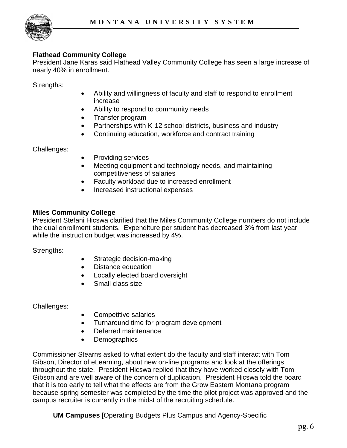

#### **Flathead Community College**

President Jane Karas said Flathead Valley Community College has seen a large increase of nearly 40% in enrollment.

Strengths:

- Ability and willingness of faculty and staff to respond to enrollment increase
- Ability to respond to community needs
- Transfer program
- Partnerships with K-12 school districts, business and industry
- Continuing education, workforce and contract training

Challenges:

- Providing services
- Meeting equipment and technology needs, and maintaining competitiveness of salaries
- Faculty workload due to increased enrollment
- Increased instructional expenses

#### **Miles Community College**

President Stefani Hicswa clarified that the Miles Community College numbers do not include the dual enrollment students. Expenditure per student has decreased 3% from last year while the instruction budget was increased by 4%.

Strengths:

- Strategic decision-making
- Distance education
- Locally elected board oversight
- Small class size

Challenges:

- Competitive salaries
- Turnaround time for program development
- Deferred maintenance
- Demographics

Commissioner Stearns asked to what extent do the faculty and staff interact with Tom Gibson, Director of eLearning, about new on-line programs and look at the offerings throughout the state. President Hicswa replied that they have worked closely with Tom Gibson and are well aware of the concern of duplication. President Hicswa told the board that it is too early to tell what the effects are from the Grow Eastern Montana program because spring semester was completed by the time the pilot project was approved and the campus recruiter is currently in the midst of the recruiting schedule.

**UM Campuses** [Operating Budgets Plus Campus and Agency-Specific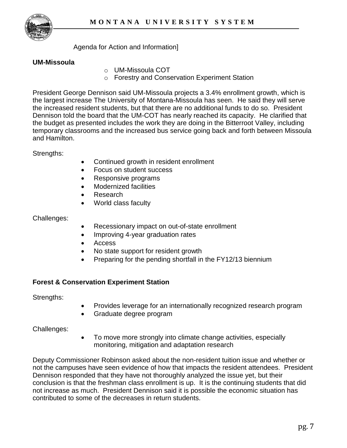

Agenda for Action and Information]

# **UM-Missoula**

- o UM-Missoula COT
- o Forestry and Conservation Experiment Station

President George Dennison said UM-Missoula projects a 3.4% enrollment growth, which is the largest increase The University of Montana-Missoula has seen. He said they will serve the increased resident students, but that there are no additional funds to do so. President Dennison told the board that the UM-COT has nearly reached its capacity. He clarified that the budget as presented includes the work they are doing in the Bitterroot Valley, including temporary classrooms and the increased bus service going back and forth between Missoula and Hamilton.

Strengths:

- Continued growth in resident enrollment
- Focus on student success
- Responsive programs
- Modernized facilities
- Research
- World class faculty

### Challenges:

- Recessionary impact on out-of-state enrollment
- Improving 4-year graduation rates
- Access
- No state support for resident growth
- Preparing for the pending shortfall in the FY12/13 biennium

# **Forest & Conservation Experiment Station**

Strengths:

- Provides leverage for an internationally recognized research program
- Graduate degree program

Challenges:

 To move more strongly into climate change activities, especially monitoring, mitigation and adaptation research

Deputy Commissioner Robinson asked about the non-resident tuition issue and whether or not the campuses have seen evidence of how that impacts the resident attendees. President Dennison responded that they have not thoroughly analyzed the issue yet, but their conclusion is that the freshman class enrollment is up. It is the continuing students that did not increase as much. President Dennison said it is possible the economic situation has contributed to some of the decreases in return students.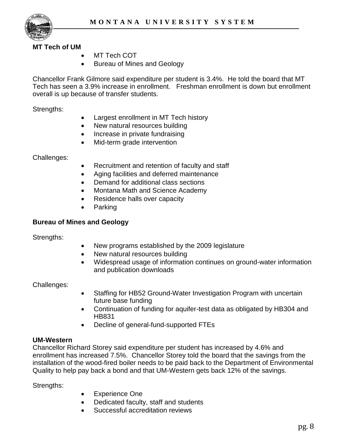

#### **MT Tech of UM**

- MT Tech COT
- Bureau of Mines and Geology

Chancellor Frank Gilmore said expenditure per student is 3.4%. He told the board that MT Tech has seen a 3.9% increase in enrollment. Freshman enrollment is down but enrollment overall is up because of transfer students.

Strengths:

- Largest enrollment in MT Tech history
- New natural resources building
- Increase in private fundraising
- Mid-term grade intervention

Challenges:

- Recruitment and retention of faculty and staff
- Aging facilities and deferred maintenance
- Demand for additional class sections
- Montana Math and Science Academy
- Residence halls over capacity
- Parking

#### **Bureau of Mines and Geology**

Strengths:

- New programs established by the 2009 legislature
- New natural resources building
- Widespread usage of information continues on ground-water information and publication downloads

Challenges:

- Staffing for HB52 Ground-Water Investigation Program with uncertain future base funding
- Continuation of funding for aquifer-test data as obligated by HB304 and HB831
- Decline of general-fund-supported FTEs

#### **UM-Western**

Chancellor Richard Storey said expenditure per student has increased by 4.6% and enrollment has increased 7.5%. Chancellor Storey told the board that the savings from the installation of the wood-fired boiler needs to be paid back to the Department of Environmental Quality to help pay back a bond and that UM-Western gets back 12% of the savings.

Strengths:

- Experience One
- Dedicated faculty, staff and students
- Successful accreditation reviews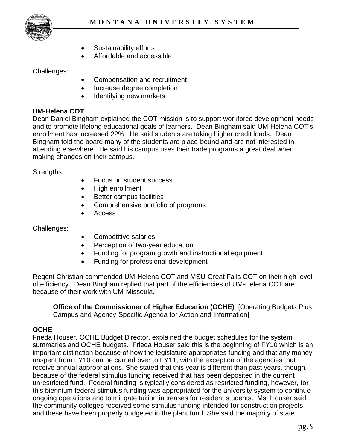- Sustainability efforts
- Affordable and accessible

Challenges:

- Compensation and recruitment
- Increase degree completion
- Identifying new markets

# **UM-Helena COT**

Dean Daniel Bingham explained the COT mission is to support workforce development needs and to promote lifelong educational goals of learners. Dean Bingham said UM-Helena COT"s enrollment has increased 22%. He said students are taking higher credit loads. Dean Bingham told the board many of the students are place-bound and are not interested in attending elsewhere. He said his campus uses their trade programs a great deal when making changes on their campus.

Strengths:

- Focus on student success
- High enrollment
- Better campus facilities
- Comprehensive portfolio of programs
- Access

Challenges:

- Competitive salaries
- Perception of two-year education
- Funding for program growth and instructional equipment
- Funding for professional development

Regent Christian commended UM-Helena COT and MSU-Great Falls COT on their high level of efficiency. Dean Bingham replied that part of the efficiencies of UM-Helena COT are because of their work with UM-Missoula.

**Office of the Commissioner of Higher Education (OCHE)** [Operating Budgets Plus Campus and Agency-Specific Agenda for Action and Information]

# **OCHE**

Frieda Houser, OCHE Budget Director, explained the budget schedules for the system summaries and OCHE budgets. Frieda Houser said this is the beginning of FY10 which is an important distinction because of how the legislature appropriates funding and that any money unspent from FY10 can be carried over to FY11, with the exception of the agencies that receive annual appropriations. She stated that this year is different than past years, though, because of the federal stimulus funding received that has been deposited in the current unrestricted fund. Federal funding is typically considered as restricted funding, however, for this biennium federal stimulus funding was appropriated for the university system to continue ongoing operations and to mitigate tuition increases for resident students. Ms. Houser said the community colleges received some stimulus funding intended for construction projects and these have been properly budgeted in the plant fund. She said the majority of state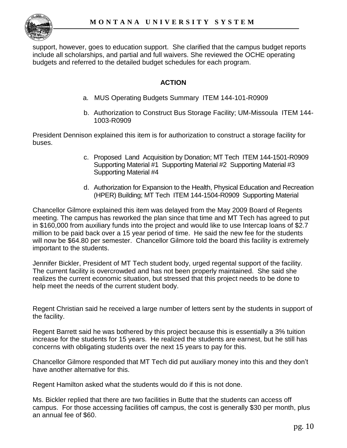

support, however, goes to education support. She clarified that the campus budget reports include all scholarships, and partial and full waivers. She reviewed the OCHE operating budgets and referred to the detailed budget schedules for each program.

### **ACTION**

- a. MUS Operating Budgets Summary ITEM 144-101-R0909
- b. Authorization to Construct Bus Storage Facility; UM-Missoula ITEM 144- 1003-R0909

President Dennison explained this item is for authorization to construct a storage facility for buses.

- c. Proposed Land Acquisition by Donation; MT Tech ITEM 144-1501-R0909 Supporting Material #1 Supporting Material #2 Supporting Material #3 Supporting Material #4
- d. Authorization for Expansion to the Health, Physical Education and Recreation (HPER) Building; MT Tech ITEM 144-1504-R0909 Supporting Material

Chancellor Gilmore explained this item was delayed from the May 2009 Board of Regents meeting. The campus has reworked the plan since that time and MT Tech has agreed to put in \$160,000 from auxiliary funds into the project and would like to use Intercap loans of \$2.7 million to be paid back over a 15 year period of time. He said the new fee for the students will now be \$64.80 per semester. Chancellor Gilmore told the board this facility is extremely important to the students.

Jennifer Bickler, President of MT Tech student body, urged regental support of the facility. The current facility is overcrowded and has not been properly maintained. She said she realizes the current economic situation, but stressed that this project needs to be done to help meet the needs of the current student body.

Regent Christian said he received a large number of letters sent by the students in support of the facility.

Regent Barrett said he was bothered by this project because this is essentially a 3% tuition increase for the students for 15 years. He realized the students are earnest, but he still has concerns with obligating students over the next 15 years to pay for this.

Chancellor Gilmore responded that MT Tech did put auxiliary money into this and they don"t have another alternative for this.

Regent Hamilton asked what the students would do if this is not done.

Ms. Bickler replied that there are two facilities in Butte that the students can access off campus. For those accessing facilities off campus, the cost is generally \$30 per month, plus an annual fee of \$60.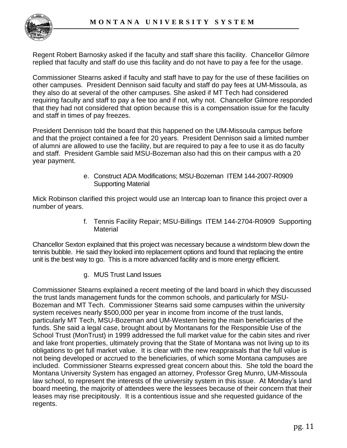

Regent Robert Barnosky asked if the faculty and staff share this facility. Chancellor Gilmore replied that faculty and staff do use this facility and do not have to pay a fee for the usage.

Commissioner Stearns asked if faculty and staff have to pay for the use of these facilities on other campuses. President Dennison said faculty and staff do pay fees at UM-Missoula, as they also do at several of the other campuses. She asked if MT Tech had considered requiring faculty and staff to pay a fee too and if not, why not. Chancellor Gilmore responded that they had not considered that option because this is a compensation issue for the faculty and staff in times of pay freezes.

President Dennison told the board that this happened on the UM-Missoula campus before and that the project contained a fee for 20 years. President Dennison said a limited number of alumni are allowed to use the facility, but are required to pay a fee to use it as do faculty and staff. President Gamble said MSU-Bozeman also had this on their campus with a 20 year payment.

> e. Construct ADA Modifications; MSU-Bozeman ITEM 144-2007-R0909 Supporting Material

Mick Robinson clarified this project would use an Intercap loan to finance this project over a number of years.

> f. Tennis Facility Repair; MSU-Billings ITEM 144-2704-R0909 Supporting **Material**

Chancellor Sexton explained that this project was necessary because a windstorm blew down the tennis bubble. He said they looked into replacement options and found that replacing the entire unit is the best way to go. This is a more advanced facility and is more energy efficient.

g. MUS Trust Land Issues

Commissioner Stearns explained a recent meeting of the land board in which they discussed the trust lands management funds for the common schools, and particularly for MSU-Bozeman and MT Tech. Commissioner Stearns said some campuses within the university system receives nearly \$500,000 per year in income from income of the trust lands, particularly MT Tech, MSU-Bozeman and UM-Western being the main beneficiaries of the funds. She said a legal case, brought about by Montanans for the Responsible Use of the School Trust (MonTrust) in 1999 addressed the full market value for the cabin sites and river and lake front properties, ultimately proving that the State of Montana was not living up to its obligations to get full market value. It is clear with the new reappraisals that the full value is not being developed or accrued to the beneficiaries, of which some Montana campuses are included. Commissioner Stearns expressed great concern about this. She told the board the Montana University System has engaged an attorney, Professor Greg Munro, UM-Missoula law school, to represent the interests of the university system in this issue. At Monday"s land board meeting, the majority of attendees were the lessees because of their concern that their leases may rise precipitously. It is a contentious issue and she requested guidance of the regents.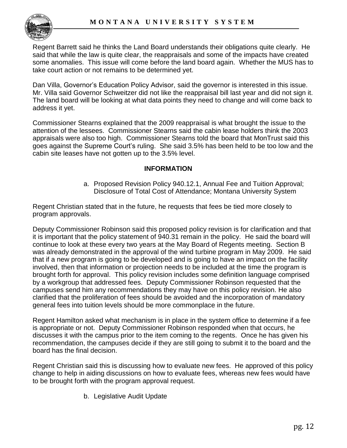

Regent Barrett said he thinks the Land Board understands their obligations quite clearly. He said that while the law is quite clear, the reappraisals and some of the impacts have created some anomalies. This issue will come before the land board again. Whether the MUS has to take court action or not remains to be determined yet.

Dan Villa, Governor's Education Policy Advisor, said the governor is interested in this issue. Mr. Villa said Governor Schweitzer did not like the reappraisal bill last year and did not sign it. The land board will be looking at what data points they need to change and will come back to address it yet.

Commissioner Stearns explained that the 2009 reappraisal is what brought the issue to the attention of the lessees. Commissioner Stearns said the cabin lease holders think the 2003 appraisals were also too high. Commissioner Stearns told the board that MonTrust said this goes against the Supreme Court's ruling. She said 3.5% has been held to be too low and the cabin site leases have not gotten up to the 3.5% level.

### **INFORMATION**

a. Proposed Revision Policy 940.12.1, Annual Fee and Tuition Approval; Disclosure of Total Cost of Attendance; Montana University System

Regent Christian stated that in the future, he requests that fees be tied more closely to program approvals.

Deputy Commissioner Robinson said this proposed policy revision is for clarification and that it is important that the policy statement of 940.31 remain in the policy. He said the board will continue to look at these every two years at the May Board of Regents meeting. Section B was already demonstrated in the approval of the wind turbine program in May 2009. He said that if a new program is going to be developed and is going to have an impact on the facility involved, then that information or projection needs to be included at the time the program is brought forth for approval. This policy revision includes some definition language comprised by a workgroup that addressed fees. Deputy Commissioner Robinson requested that the campuses send him any recommendations they may have on this policy revision. He also clarified that the proliferation of fees should be avoided and the incorporation of mandatory general fees into tuition levels should be more commonplace in the future.

Regent Hamilton asked what mechanism is in place in the system office to determine if a fee is appropriate or not. Deputy Commissioner Robinson responded when that occurs, he discusses it with the campus prior to the item coming to the regents. Once he has given his recommendation, the campuses decide if they are still going to submit it to the board and the board has the final decision.

Regent Christian said this is discussing how to evaluate new fees. He approved of this policy change to help in aiding discussions on how to evaluate fees, whereas new fees would have to be brought forth with the program approval request.

b. Legislative Audit Update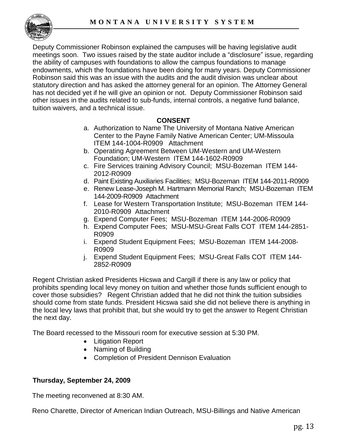

Deputy Commissioner Robinson explained the campuses will be having legislative audit meetings soon. Two issues raised by the state auditor include a "disclosure" issue, regarding the ability of campuses with foundations to allow the campus foundations to manage endowments, which the foundations have been doing for many years. Deputy Commissioner Robinson said this was an issue with the audits and the audit division was unclear about statutory direction and has asked the attorney general for an opinion. The Attorney General has not decided yet if he will give an opinion or not. Deputy Commissioner Robinson said other issues in the audits related to sub-funds, internal controls, a negative fund balance, tuition waivers, and a technical issue.

### **CONSENT**

- a. Authorization to Name The University of Montana Native American Center to the Payne Family Native American Center; UM-Missoula ITEM 144-1004-R0909 Attachment
- b. Operating Agreement Between UM-Western and UM-Western Foundation; UM-Western ITEM 144-1602-R0909
- c. Fire Services training Advisory Council; MSU-Bozeman ITEM 144- 2012-R0909
- d. Paint Existing Auxiliaries Facilities; MSU-Bozeman ITEM 144-2011-R0909
- e. Renew Lease-Joseph M. Hartmann Memorial Ranch; MSU-Bozeman ITEM 144-2009-R0909 Attachment
- f. Lease for Western Transportation Institute; MSU-Bozeman ITEM 144- 2010-R0909 Attachment
- g. Expend Computer Fees; MSU-Bozeman ITEM 144-2006-R0909
- h. Expend Computer Fees; MSU-MSU-Great Falls COT ITEM 144-2851- R0909
- i. Expend Student Equipment Fees; MSU-Bozeman ITEM 144-2008- R0909
- j. Expend Student Equipment Fees; MSU-Great Falls COT ITEM 144- 2852-R0909

Regent Christian asked Presidents Hicswa and Cargill if there is any law or policy that prohibits spending local levy money on tuition and whether those funds sufficient enough to cover those subsidies? Regent Christian added that he did not think the tuition subsidies should come from state funds. President Hicswa said she did not believe there is anything in the local levy laws that prohibit that, but she would try to get the answer to Regent Christian the next day.

The Board recessed to the Missouri room for executive session at 5:30 PM.

- Litigation Report
- Naming of Building
- Completion of President Dennison Evaluation

# **Thursday, September 24, 2009**

The meeting reconvened at 8:30 AM.

Reno Charette, Director of American Indian Outreach, MSU-Billings and Native American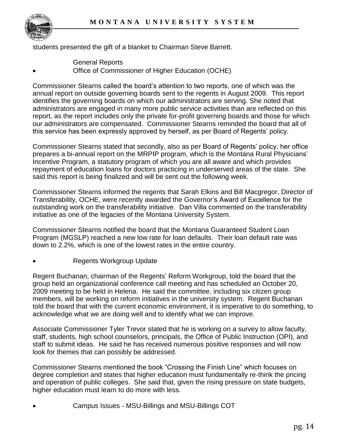

students presented the gift of a blanket to Chairman Steve Barrett.

- General Reports
- Office of Commissioner of Higher Education (OCHE)

Commissioner Stearns called the board"s attention to two reports, one of which was the annual report on outside governing boards sent to the regents in August 2009. This report identifies the governing boards on which our administrators are serving. She noted that administrators are engaged in many more public service activities than are reflected on this report, as the report includes only the private for-profit governing boards and those for which our administrators are compensated. Commissioner Stearns reminded the board that all of this service has been expressly approved by herself, as per Board of Regents" policy.

Commissioner Stearns stated that secondly, also as per Board of Regents" policy, her office prepares a bi-annual report on the MRPIP program, which is the Montana Rural Physicians" Incentive Program, a statutory program of which you are all aware and which provides repayment of education loans for doctors practicing in underserved areas of the state. She said this report is being finalized and will be sent out the following week.

Commissioner Stearns informed the regents that Sarah Elkins and Bill Macgregor, Director of Transferability, OCHE, were recently awarded the Governor"s Award of Excellence for the outstanding work on the transferability initiative. Dan Villa commented on the transferability initiative as one of the legacies of the Montana University System.

Commissioner Stearns notified the board that the Montana Guaranteed Student Loan Program (MGSLP) reached a new low rate for loan defaults. Their loan default rate was down to 2.2%, which is one of the lowest rates in the entire country.

#### Regents Workgroup Update

Regent Buchanan, chairman of the Regents" Reform Workgroup, told the board that the group held an organizational conference call meeting and has scheduled an October 20, 2009 meeting to be held in Helena. He said the committee, including six citizen group members, will be working on reform initiatives in the university system. Regent Buchanan told the board that with the current economic environment, it is imperative to do something, to acknowledge what we are doing well and to identify what we can improve.

Associate Commissioner Tyler Trevor stated that he is working on a survey to allow faculty, staff, students, high school counselors, principals, the Office of Public Instruction (OPI), and staff to submit ideas. He said he has received numerous positive responses and will now look for themes that can possibly be addressed.

Commissioner Stearns mentioned the book "Crossing the Finish Line" which focuses on degree completion and states that higher education must fundamentally re-think the pricing and operation of public colleges. She said that, given the rising pressure on state budgets, higher education must learn to do more with less.

Campus Issues - MSU-Billings and MSU-Billings COT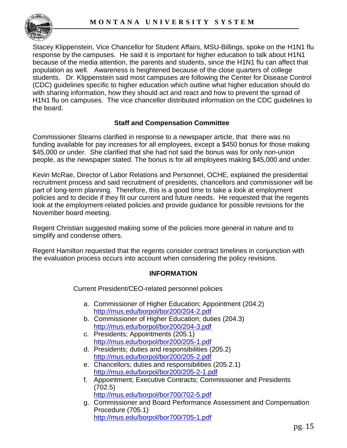

Stacey Klippenstein, Vice Chancellor for Student Affairs, MSU-Billings, spoke on the H1N1 flu response by the campuses. He said it is important for higher education to talk about H1N1 because of the media attention, the parents and students, since the H1N1 flu can affect that population as well. Awareness is heightened because of the close quarters of college students. Dr. Klippenstein said most campuses are following the Center for Disease Control (CDC) guidelines specific to higher education which outline what higher education should do with sharing information, how they should act and react and how to prevent the spread of H1N1 flu on campuses. The vice chancellor distributed information on the CDC guidelines to the board.

# **Staff and Compensation Committee**

Commissioner Stearns clarified in response to a newspaper article, that there was no funding available for pay increases for all employees, except a \$450 bonus for those making \$45,000 or under. She clarified that she had not said the bonus was for only non-union people, as the newspaper stated. The bonus is for all employees making \$45,000 and under.

Kevin McRae, Director of Labor Relations and Personnel, OCHE, explained the presidential recruitment process and said recruitment of presidents, chancellors and commissioner will be part of long-term planning. Therefore, this is a good time to take a look at employment policies and to decide if they fit our current and future needs. He requested that the regents look at the employment-related policies and provide guidance for possible revisions for the November board meeting.

Regent Christian suggested making some of the policies more general in nature and to simplify and condense others.

Regent Hamilton requested that the regents consider contract timelines in conjunction with the evaluation process occurs into account when considering the policy revisions.

# **INFORMATION**

Current President/CEO-related personnel policies

- a. Commissioner of Higher Education; Appointment (204.2) <http://mus.edu/borpol/bor200/204-2.pdf>
- b. Commissioner of Higher Education; duties (204.3) <http://mus.edu/borpol/bor200/204-3.pdf>
- c. Presidents; Appointments (205.1) <http://mus.edu/borpol/bor200/205-1.pdf>
- d. Presidents; duties and responsibilities (205.2) <http://mus.edu/borpol/bor200/205-2.pdf>
- e. Chancellors; duties and responsibilities (205.2.1) <http://mus.edu/borpol/bor200/205-2-1.pdf>
- f. Appointment; Executive Contracts; Commissioner and Presidents (702.5) [http://mus.edu/borpol/bor700/702](http://mus.edu/borpol/bor700/702-5.pdf)-5.pdf
- g. Commissioner and Board Performance Assessment and Compensation Procedure (705.1) [http://mus.edu/borpol/bor700/705](http://mus.edu/borpol/bor700/705-1.pdf)-1.pdf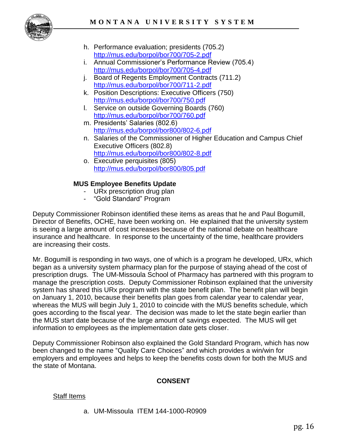

- h. Performance evaluation; presidents (705.2) [http://mus.edu/borpol/bor700/705](http://mus.edu/borpol/bor700/705-2.pdf)-2.pdf
- i. Annual Commissioner"s Performance Review (705.4) [http://mus.edu/borpol/bor700/705](http://mus.edu/borpol/bor700/705-4.pdf)-4.pdf
- j. Board of Regents Employment Contracts (711.2) <http://mus.edu/borpol/bor700/711-2.pdf>
- k. Position Descriptions: Executive Officers (750) [http://mus.edu/borpol/bor700/750.](http://mus.edu/borpol/bor700/750.pdf)pdf
- l. Service on outside Governing Boards (760) [http://mus.edu/borpol/bor700/760.](http://mus.edu/borpol/bor700/760.pdf)pdf
- m. Presidents' Salaries (802.6) [http://mus.edu/borpol/bor800/802](http://mus.edu/borpol/bor800/802-6.pdf)-6.pdf
- n. Salaries of the Commissioner of Higher Education and Campus Chief Executive Officers (802.8) <http://mus.edu/borpol/bor800/802-8.pdf>
- o. Executive perquisites (805) <http://mus.edu/borpol/bor800/805.pdf>

# **MUS Employee Benefits Update**

- URx prescription drug plan
- "Gold Standard" Program

Deputy Commissioner Robinson identified these items as areas that he and Paul Bogumill, Director of Benefits, OCHE, have been working on. He explained that the university system is seeing a large amount of cost increases because of the national debate on healthcare insurance and healthcare. In response to the uncertainty of the time, healthcare providers are increasing their costs.

Mr. Bogumill is responding in two ways, one of which is a program he developed, URx, which began as a university system pharmacy plan for the purpose of staying ahead of the cost of prescription drugs. The UM-Missoula School of Pharmacy has partnered with this program to manage the prescription costs. Deputy Commissioner Robinson explained that the university system has shared this URx program with the state benefit plan. The benefit plan will begin on January 1, 2010, because their benefits plan goes from calendar year to calendar year, whereas the MUS will begin July 1, 2010 to coincide with the MUS benefits schedule, which goes according to the fiscal year. The decision was made to let the state begin earlier than the MUS start date because of the large amount of savings expected. The MUS will get information to employees as the implementation date gets closer.

Deputy Commissioner Robinson also explained the Gold Standard Program, which has now been changed to the name "Quality Care Choices" and which provides a win/win for employers and employees and helps to keep the benefits costs down for both the MUS and the state of Montana.

# **CONSENT**

# Staff Items

a. UM-Missoula ITEM 144-1000-R0909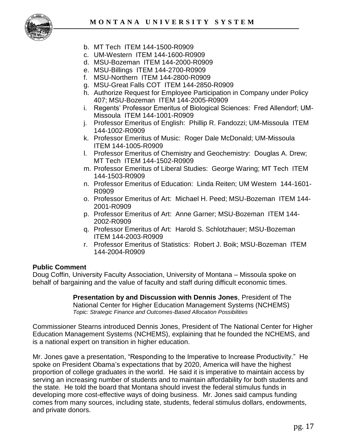

- b. MT Tech ITEM 144-1500-R0909
- c. UM-Western ITEM 144-1600-R0909
- d. MSU-Bozeman ITEM 144-2000-R0909
- e. MSU-Billings ITEM 144-2700-R0909
- f. MSU-Northern ITEM 144-2800-R0909
- g. MSU-Great Falls COT ITEM 144-2850-R0909
- h. Authorize Request for Employee Participation in Company under Policy 407; MSU-Bozeman ITEM 144-2005-R0909
- i. Regents' Professor Emeritus of Biological Sciences: Fred Allendorf; UM-Missoula ITEM 144-1001-R0909
- j. Professor Emeritus of English: Phillip R. Fandozzi; UM-Missoula ITEM 144-1002-R0909
- k. Professor Emeritus of Music: Roger Dale McDonald; UM-Missoula ITEM 144-1005-R0909
- l. Professor Emeritus of Chemistry and Geochemistry: Douglas A. Drew; MT Tech ITEM 144-1502-R0909
- m. Professor Emeritus of Liberal Studies: George Waring; MT Tech ITEM 144-1503-R0909
- n. Professor Emeritus of Education: Linda Reiten; UM Western 144-1601- R0909
- o. Professor Emeritus of Art: Michael H. Peed; MSU-Bozeman ITEM 144- 2001-R0909
- p. Professor Emeritus of Art: Anne Garner; MSU-Bozeman ITEM 144- 2002-R0909
- q. Professor Emeritus of Art: Harold S. Schlotzhauer; MSU-Bozeman ITEM 144-2003-R0909
- r. Professor Emeritus of Statistics: Robert J. Boik; MSU-Bozeman ITEM 144-2004-R0909

#### **Public Comment**

Doug Coffin, University Faculty Association, University of Montana – Missoula spoke on behalf of bargaining and the value of faculty and staff during difficult economic times.

> **Presentation by and Discussion with Dennis Jones**, President of The National Center for Higher Education Management Systems (NCHEMS) *Topic: Strategic Finance and Outcomes-Based Allocation Possibilities*

Commissioner Stearns introduced Dennis Jones, President of The National Center for Higher Education Management Systems (NCHEMS), explaining that he founded the NCHEMS, and is a national expert on transition in higher education.

Mr. Jones gave a presentation, "Responding to the Imperative to Increase Productivity." He spoke on President Obama"s expectations that by 2020, America will have the highest proportion of college graduates in the world. He said it is imperative to maintain access by serving an increasing number of students and to maintain affordability for both students and the state. He told the board that Montana should invest the federal stimulus funds in developing more cost-effective ways of doing business. Mr. Jones said campus funding comes from many sources, including state, students, federal stimulus dollars, endowments, and private donors.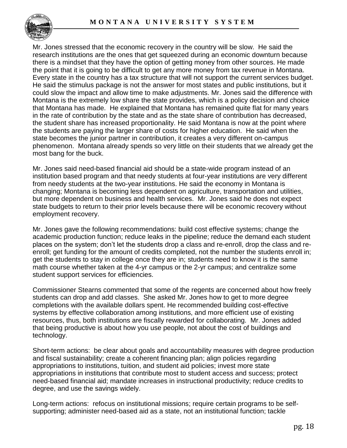

Mr. Jones stressed that the economic recovery in the country will be slow. He said the research institutions are the ones that get squeezed during an economic downturn because there is a mindset that they have the option of getting money from other sources. He made the point that it is going to be difficult to get any more money from tax revenue in Montana. Every state in the country has a tax structure that will not support the current services budget. He said the stimulus package is not the answer for most states and public institutions, but it could slow the impact and allow time to make adjustments. Mr. Jones said the difference with Montana is the extremely low share the state provides, which is a policy decision and choice that Montana has made. He explained that Montana has remained quite flat for many years in the rate of contribution by the state and as the state share of contribution has decreased, the student share has increased proportionality. He said Montana is now at the point where the students are paying the larger share of costs for higher education. He said when the state becomes the junior partner in contribution, it creates a very different on-campus phenomenon. Montana already spends so very little on their students that we already get the most bang for the buck.

Mr. Jones said need-based financial aid should be a state-wide program instead of an institution based program and that needy students at four-year institutions are very different from needy students at the two-year institutions. He said the economy in Montana is changing; Montana is becoming less dependent on agriculture, transportation and utilities, but more dependent on business and health services. Mr. Jones said he does not expect state budgets to return to their prior levels because there will be economic recovery without employment recovery.

Mr. Jones gave the following recommendations: build cost effective systems; change the academic production function; reduce leaks in the pipeline; reduce the demand each student places on the system; don"t let the students drop a class and re-enroll, drop the class and reenroll; get funding for the amount of credits completed, not the number the students enroll in; get the students to stay in college once they are in; students need to know it is the same math course whether taken at the 4-yr campus or the 2-yr campus; and centralize some student support services for efficiencies.

Commissioner Stearns commented that some of the regents are concerned about how freely students can drop and add classes. She asked Mr. Jones how to get to more degree completions with the available dollars spent. He recommended building cost-effective systems by effective collaboration among institutions, and more efficient use of existing resources, thus, both institutions are fiscally rewarded for collaborating. Mr. Jones added that being productive is about how you use people, not about the cost of buildings and technology.

Short-term actions: be clear about goals and accountability measures with degree production and fiscal sustainability; create a coherent financing plan; align policies regarding appropriations to institutions, tuition, and student aid policies; invest more state appropriations in institutions that contribute most to student access and success; protect need-based financial aid; mandate increases in instructional productivity; reduce credits to degree, and use the savings widely.

Long-term actions: refocus on institutional missions; require certain programs to be selfsupporting; administer need-based aid as a state, not an institutional function; tackle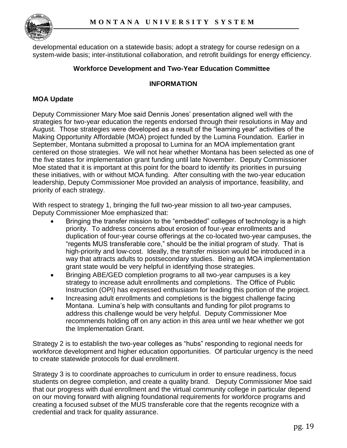

developmental education on a statewide basis; adopt a strategy for course redesign on a system-wide basis; inter-institutional collaboration, and retrofit buildings for energy efficiency.

#### **Workforce Development and Two-Year Education Committee**

#### **INFORMATION**

### **MOA Update**

Deputy Commissioner Mary Moe said Dennis Jones" presentation aligned well with the strategies for two-year education the regents endorsed through their resolutions in May and August. Those strategies were developed as a result of the "learning year" activities of the Making Opportunity Affordable (MOA) project funded by the Lumina Foundation. Earlier in September, Montana submitted a proposal to Lumina for an MOA implementation grant centered on those strategies. We will not hear whether Montana has been selected as one of the five states for implementation grant funding until late November. Deputy Commissioner Moe stated that it is important at this point for the board to identify its priorities in pursuing these initiatives, with or without MOA funding. After consulting with the two-year education leadership, Deputy Commissioner Moe provided an analysis of importance, feasibility, and priority of each strategy.

With respect to strategy 1, bringing the full two-year mission to all two-year campuses, Deputy Commissioner Moe emphasized that:

- Bringing the transfer mission to the "embedded" colleges of technology is a high priority. To address concerns about erosion of four-year enrollments and duplication of four-year course offerings at the co-located two-year campuses, the "regents MUS transferable core," should be the initial program of study. That is high-priority and low-cost. Ideally, the transfer mission would be introduced in a way that attracts adults to postsecondary studies. Being an MOA implementation grant state would be very helpful in identifying those strategies.
- Bringing ABE/GED completion programs to all two-year campuses is a key strategy to increase adult enrollments and completions. The Office of Public Instruction (OPI) has expressed enthusiasm for leading this portion of the project.
- Increasing adult enrollments and completions is the biggest challenge facing Montana. Lumina"s help with consultants and funding for pilot programs to address this challenge would be very helpful. Deputy Commissioner Moe recommends holding off on any action in this area until we hear whether we got the Implementation Grant.

Strategy 2 is to establish the two-year colleges as "hubs" responding to regional needs for workforce development and higher education opportunities. Of particular urgency is the need to create statewide protocols for dual enrollment.

Strategy 3 is to coordinate approaches to curriculum in order to ensure readiness, focus students on degree completion, and create a quality brand. Deputy Commissioner Moe said that our progress with dual enrollment and the virtual community college in particular depend on our moving forward with aligning foundational requirements for workforce programs and creating a focused subset of the MUS transferable core that the regents recognize with a credential and track for quality assurance.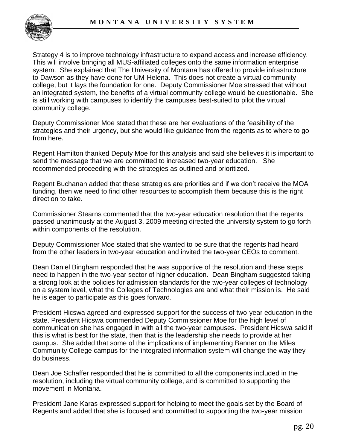

Strategy 4 is to improve technology infrastructure to expand access and increase efficiency. This will involve bringing all MUS-affiliated colleges onto the same information enterprise system. She explained that The University of Montana has offered to provide infrastructure to Dawson as they have done for UM-Helena. This does not create a virtual community college, but it lays the foundation for one. Deputy Commissioner Moe stressed that without an integrated system, the benefits of a virtual community college would be questionable. She is still working with campuses to identify the campuses best-suited to pilot the virtual community college.

Deputy Commissioner Moe stated that these are her evaluations of the feasibility of the strategies and their urgency, but she would like guidance from the regents as to where to go from here.

Regent Hamilton thanked Deputy Moe for this analysis and said she believes it is important to send the message that we are committed to increased two-year education. She recommended proceeding with the strategies as outlined and prioritized.

Regent Buchanan added that these strategies are priorities and if we don"t receive the MOA funding, then we need to find other resources to accomplish them because this is the right direction to take.

Commissioner Stearns commented that the two-year education resolution that the regents passed unanimously at the August 3, 2009 meeting directed the university system to go forth within components of the resolution.

Deputy Commissioner Moe stated that she wanted to be sure that the regents had heard from the other leaders in two-year education and invited the two-year CEOs to comment.

Dean Daniel Bingham responded that he was supportive of the resolution and these steps need to happen in the two-year sector of higher education. Dean Bingham suggested taking a strong look at the policies for admission standards for the two-year colleges of technology on a system level, what the Colleges of Technologies are and what their mission is. He said he is eager to participate as this goes forward.

President Hicswa agreed and expressed support for the success of two-year education in the state. President Hicswa commended Deputy Commissioner Moe for the high level of communication she has engaged in with all the two-year campuses. President Hicswa said if this is what is best for the state, then that is the leadership she needs to provide at her campus. She added that some of the implications of implementing Banner on the Miles Community College campus for the integrated information system will change the way they do business.

Dean Joe Schaffer responded that he is committed to all the components included in the resolution, including the virtual community college, and is committed to supporting the movement in Montana.

President Jane Karas expressed support for helping to meet the goals set by the Board of Regents and added that she is focused and committed to supporting the two-year mission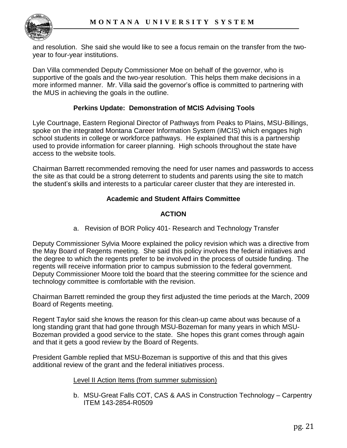

and resolution. She said she would like to see a focus remain on the transfer from the twoyear to four-year institutions.

Dan Villa commended Deputy Commissioner Moe on behalf of the governor, who is supportive of the goals and the two-year resolution. This helps them make decisions in a more informed manner. Mr. Villa said the governor"s office is committed to partnering with the MUS in achieving the goals in the outline.

#### **Perkins Update: Demonstration of MCIS Advising Tools**

Lyle Courtnage, Eastern Regional Director of Pathways from Peaks to Plains, MSU-Billings, spoke on the integrated Montana Career Information System (iMCIS) which engages high school students in college or workforce pathways. He explained that this is a partnership used to provide information for career planning. High schools throughout the state have access to the website tools.

Chairman Barrett recommended removing the need for user names and passwords to access the site as that could be a strong deterrent to students and parents using the site to match the student"s skills and interests to a particular career cluster that they are interested in.

### **Academic and Student Affairs Committee**

# **ACTION**

a. Revision of BOR Policy 401- Research and Technology Transfer

Deputy Commissioner Sylvia Moore explained the policy revision which was a directive from the May Board of Regents meeting. She said this policy involves the federal initiatives and the degree to which the regents prefer to be involved in the process of outside funding. The regents will receive information prior to campus submission to the federal government. Deputy Commissioner Moore told the board that the steering committee for the science and technology committee is comfortable with the revision.

Chairman Barrett reminded the group they first adjusted the time periods at the March, 2009 Board of Regents meeting.

Regent Taylor said she knows the reason for this clean-up came about was because of a long standing grant that had gone through MSU-Bozeman for many years in which MSU-Bozeman provided a good service to the state. She hopes this grant comes through again and that it gets a good review by the Board of Regents.

President Gamble replied that MSU-Bozeman is supportive of this and that this gives additional review of the grant and the federal initiatives process.

#### Level II Action Items (from summer submission)

b. MSU-Great Falls COT, CAS & AAS in Construction Technology – Carpentry ITEM 143-2854-R0509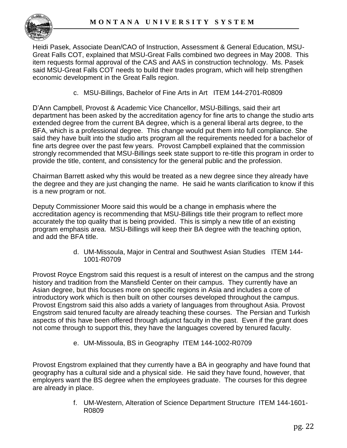

Heidi Pasek, Associate Dean/CAO of Instruction, Assessment & General Education, MSU-Great Falls COT, explained that MSU-Great Falls combined two degrees in May 2008. This item requests formal approval of the CAS and AAS in construction technology. Ms. Pasek said MSU-Great Falls COT needs to build their trades program, which will help strengthen economic development in the Great Falls region.

c. MSU-Billings, Bachelor of Fine Arts in Art ITEM 144-2701-R0809

D"Ann Campbell, Provost & Academic Vice Chancellor, MSU-Billings, said their art department has been asked by the accreditation agency for fine arts to change the studio arts extended degree from the current BA degree, which is a general liberal arts degree, to the BFA, which is a professional degree. This change would put them into full compliance. She said they have built into the studio arts program all the requirements needed for a bachelor of fine arts degree over the past few years. Provost Campbell explained that the commission strongly recommended that MSU-Billings seek state support to re-title this program in order to provide the title, content, and consistency for the general public and the profession.

Chairman Barrett asked why this would be treated as a new degree since they already have the degree and they are just changing the name. He said he wants clarification to know if this is a new program or not.

Deputy Commissioner Moore said this would be a change in emphasis where the accreditation agency is recommending that MSU-Billings title their program to reflect more accurately the top quality that is being provided. This is simply a new title of an existing program emphasis area. MSU-Billings will keep their BA degree with the teaching option, and add the BFA title.

> d. UM-Missoula, Major in Central and Southwest Asian Studies ITEM 144- 1001-R0709

Provost Royce Engstrom said this request is a result of interest on the campus and the strong history and tradition from the Mansfield Center on their campus. They currently have an Asian degree, but this focuses more on specific regions in Asia and includes a core of introductory work which is then built on other courses developed throughout the campus. Provost Engstrom said this also adds a variety of languages from throughout Asia. Provost Engstrom said tenured faculty are already teaching these courses. The Persian and Turkish aspects of this have been offered through adjunct faculty in the past. Even if the grant does not come through to support this, they have the languages covered by tenured faculty.

e. UM-Missoula, BS in Geography ITEM 144-1002-R0709

Provost Engstrom explained that they currently have a BA in geography and have found that geography has a cultural side and a physical side. He said they have found, however, that employers want the BS degree when the employees graduate. The courses for this degree are already in place.

> f. UM-Western, Alteration of Science Department Structure ITEM 144-1601- R0809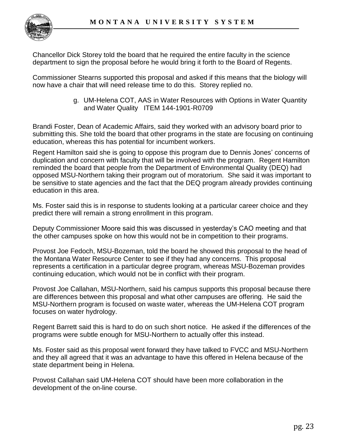

Chancellor Dick Storey told the board that he required the entire faculty in the science department to sign the proposal before he would bring it forth to the Board of Regents.

Commissioner Stearns supported this proposal and asked if this means that the biology will now have a chair that will need release time to do this. Storey replied no.

> g. UM-Helena COT, AAS in Water Resources with Options in Water Quantity and Water Quality ITEM 144-1901-R0709

Brandi Foster, Dean of Academic Affairs, said they worked with an advisory board prior to submitting this. She told the board that other programs in the state are focusing on continuing education, whereas this has potential for incumbent workers.

Regent Hamilton said she is going to oppose this program due to Dennis Jones" concerns of duplication and concern with faculty that will be involved with the program. Regent Hamilton reminded the board that people from the Department of Environmental Quality (DEQ) had opposed MSU-Northern taking their program out of moratorium. She said it was important to be sensitive to state agencies and the fact that the DEQ program already provides continuing education in this area.

Ms. Foster said this is in response to students looking at a particular career choice and they predict there will remain a strong enrollment in this program.

Deputy Commissioner Moore said this was discussed in yesterday"s CAO meeting and that the other campuses spoke on how this would not be in competition to their programs.

Provost Joe Fedoch, MSU-Bozeman, told the board he showed this proposal to the head of the Montana Water Resource Center to see if they had any concerns. This proposal represents a certification in a particular degree program, whereas MSU-Bozeman provides continuing education, which would not be in conflict with their program.

Provost Joe Callahan, MSU-Northern, said his campus supports this proposal because there are differences between this proposal and what other campuses are offering. He said the MSU-Northern program is focused on waste water, whereas the UM-Helena COT program focuses on water hydrology.

Regent Barrett said this is hard to do on such short notice. He asked if the differences of the programs were subtle enough for MSU-Northern to actually offer this instead.

Ms. Foster said as this proposal went forward they have talked to FVCC and MSU-Northern and they all agreed that it was an advantage to have this offered in Helena because of the state department being in Helena.

Provost Callahan said UM-Helena COT should have been more collaboration in the development of the on-line course.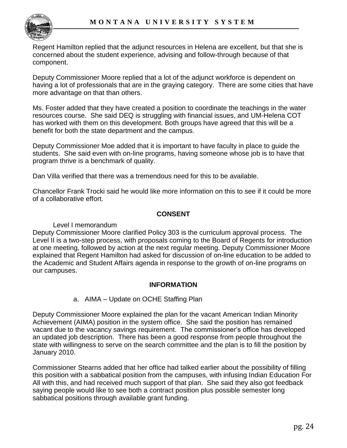

Regent Hamilton replied that the adjunct resources in Helena are excellent, but that she is concerned about the student experience, advising and follow-through because of that component.

Deputy Commissioner Moore replied that a lot of the adjunct workforce is dependent on having a lot of professionals that are in the graying category. There are some cities that have more advantage on that than others.

Ms. Foster added that they have created a position to coordinate the teachings in the water resources course. She said DEQ is struggling with financial issues, and UM-Helena COT has worked with them on this development. Both groups have agreed that this will be a benefit for both the state department and the campus.

Deputy Commissioner Moe added that it is important to have faculty in place to guide the students. She said even with on-line programs, having someone whose job is to have that program thrive is a benchmark of quality.

Dan Villa verified that there was a tremendous need for this to be available.

Chancellor Frank Trocki said he would like more information on this to see if it could be more of a collaborative effort.

### **CONSENT**

#### Level I memorandum

Deputy Commissioner Moore clarified Policy 303 is the curriculum approval process. The Level II is a two-step process, with proposals coming to the Board of Regents for introduction at one meeting, followed by action at the next regular meeting. Deputy Commissioner Moore explained that Regent Hamilton had asked for discussion of on-line education to be added to the Academic and Student Affairs agenda in response to the growth of on-line programs on our campuses.

#### **INFORMATION**

#### a. AIMA – Update on OCHE Staffing Plan

Deputy Commissioner Moore explained the plan for the vacant American Indian Minority Achievement (AIMA) position in the system office. She said the position has remained vacant due to the vacancy savings requirement. The commissioner"s office has developed an updated job description. There has been a good response from people throughout the state with willingness to serve on the search committee and the plan is to fill the position by January 2010.

Commissioner Stearns added that her office had talked earlier about the possibility of filling this position with a sabbatical position from the campuses, with infusing Indian Education For All with this, and had received much support of that plan. She said they also got feedback saying people would like to see both a contract position plus possible semester long sabbatical positions through available grant funding.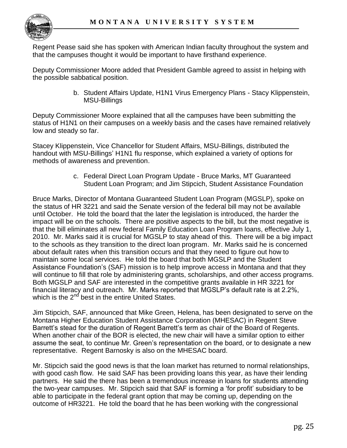Regent Pease said she has spoken with American Indian faculty throughout the system and that the campuses thought it would be important to have firsthand experience.

Deputy Commissioner Moore added that President Gamble agreed to assist in helping with the possible sabbatical position.

> b. Student Affairs Update, H1N1 Virus Emergency Plans - Stacy Klippenstein, MSU-Billings

Deputy Commissioner Moore explained that all the campuses have been submitting the status of H1N1 on their campuses on a weekly basis and the cases have remained relatively low and steady so far.

Stacey Klippenstein, Vice Chancellor for Student Affairs, MSU-Billings, distributed the handout with MSU-Billings" H1N1 flu response, which explained a variety of options for methods of awareness and prevention.

> c. Federal Direct Loan Program Update - Bruce Marks, MT Guaranteed Student Loan Program; and Jim Stipcich, Student Assistance Foundation

Bruce Marks, Director of Montana Guaranteed Student Loan Program (MGSLP), spoke on the status of HR 3221 and said the Senate version of the federal bill may not be available until October. He told the board that the later the legislation is introduced, the harder the impact will be on the schools. There are positive aspects to the bill, but the most negative is that the bill eliminates all new federal Family Education Loan Program loans, effective July 1, 2010. Mr. Marks said it is crucial for MGSLP to stay ahead of this. There will be a big impact to the schools as they transition to the direct loan program. Mr. Marks said he is concerned about default rates when this transition occurs and that they need to figure out how to maintain some local services. He told the board that both MGSLP and the Student Assistance Foundation"s (SAF) mission is to help improve access in Montana and that they will continue to fill that role by administering grants, scholarships, and other access programs. Both MGSLP and SAF are interested in the competitive grants available in HR 3221 for financial literacy and outreach. Mr. Marks reported that MGSLP"s default rate is at 2.2%, which is the  $2<sup>nd</sup>$  best in the entire United States.

Jim Stipcich, SAF, announced that Mike Green, Helena, has been designated to serve on the Montana Higher Education Student Assistance Corporation (MHESAC) in Regent Steve Barrett's stead for the duration of Regent Barrett's term as chair of the Board of Regents. When another chair of the BOR is elected, the new chair will have a similar option to either assume the seat, to continue Mr. Green"s representation on the board, or to designate a new representative. Regent Barnosky is also on the MHESAC board.

Mr. Stipcich said the good news is that the loan market has returned to normal relationships, with good cash flow. He said SAF has been providing loans this year, as have their lending partners. He said the there has been a tremendous increase in loans for students attending the two-year campuses. Mr. Stipcich said that SAF is forming a "for profit" subsidiary to be able to participate in the federal grant option that may be coming up, depending on the outcome of HR3221. He told the board that he has been working with the congressional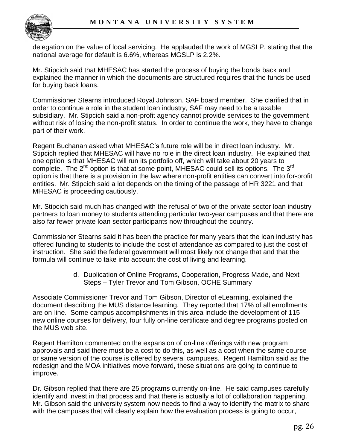

delegation on the value of local servicing. He applauded the work of MGSLP, stating that the national average for default is 6.6%, whereas MGSLP is 2.2%.

Mr. Stipcich said that MHESAC has started the process of buying the bonds back and explained the manner in which the documents are structured requires that the funds be used for buying back loans.

Commissioner Stearns introduced Royal Johnson, SAF board member. She clarified that in order to continue a role in the student loan industry, SAF may need to be a taxable subsidiary. Mr. Stipcich said a non-profit agency cannot provide services to the government without risk of losing the non-profit status. In order to continue the work, they have to change part of their work.

Regent Buchanan asked what MHESAC"s future role will be in direct loan industry. Mr. Stipcich replied that MHESAC will have no role in the direct loan industry. He explained that one option is that MHESAC will run its portfolio off, which will take about 20 years to complete. The 2<sup>nd</sup> option is that at some point, MHESAC could sell its options. The 3<sup>rd</sup> option is that there is a provision in the law where non-profit entities can convert into for-profit entities. Mr. Stipcich said a lot depends on the timing of the passage of HR 3221 and that MHESAC is proceeding cautiously.

Mr. Stipcich said much has changed with the refusal of two of the private sector loan industry partners to loan money to students attending particular two-year campuses and that there are also far fewer private loan sector participants now throughout the country.

Commissioner Stearns said it has been the practice for many years that the loan industry has offered funding to students to include the cost of attendance as compared to just the cost of instruction. She said the federal government will most likely not change that and that the formula will continue to take into account the cost of living and learning.

> d. Duplication of Online Programs, Cooperation, Progress Made, and Next Steps – Tyler Trevor and Tom Gibson, OCHE Summary

Associate Commissioner Trevor and Tom Gibson, Director of eLearning, explained the document describing the MUS distance learning. They reported that 17% of all enrollments are on-line. Some campus accomplishments in this area include the development of 115 new online courses for delivery, four fully on-line certificate and degree programs posted on the MUS web site.

Regent Hamilton commented on the expansion of on-line offerings with new program approvals and said there must be a cost to do this, as well as a cost when the same course or same version of the course is offered by several campuses. Regent Hamilton said as the redesign and the MOA initiatives move forward, these situations are going to continue to improve.

Dr. Gibson replied that there are 25 programs currently on-line. He said campuses carefully identify and invest in that process and that there is actually a lot of collaboration happening. Mr. Gibson said the university system now needs to find a way to identify the matrix to share with the campuses that will clearly explain how the evaluation process is going to occur,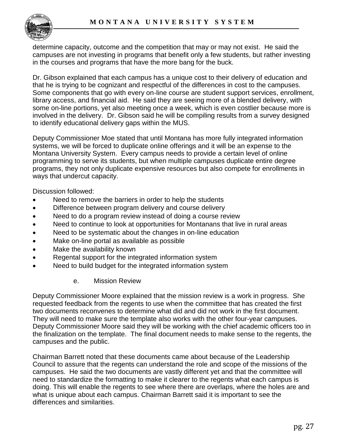

determine capacity, outcome and the competition that may or may not exist. He said the campuses are not investing in programs that benefit only a few students, but rather investing in the courses and programs that have the more bang for the buck.

Dr. Gibson explained that each campus has a unique cost to their delivery of education and that he is trying to be cognizant and respectful of the differences in cost to the campuses. Some components that go with every on-line course are student support services, enrollment, library access, and financial aid. He said they are seeing more of a blended delivery, with some on-line portions, yet also meeting once a week, which is even costlier because more is involved in the delivery. Dr. Gibson said he will be compiling results from a survey designed to identify educational delivery gaps within the MUS.

Deputy Commissioner Moe stated that until Montana has more fully integrated information systems, we will be forced to duplicate online offerings and it will be an expense to the Montana University System. Every campus needs to provide a certain level of online programming to serve its students, but when multiple campuses duplicate entire degree programs, they not only duplicate expensive resources but also compete for enrollments in ways that undercut capacity.

Discussion followed:

- Need to remove the barriers in order to help the students
- Difference between program delivery and course delivery
- Need to do a program review instead of doing a course review
- Need to continue to look at opportunities for Montanans that live in rural areas
- Need to be systematic about the changes in on-line education
- Make on-line portal as available as possible
- Make the availability known
- Regental support for the integrated information system
- Need to build budget for the integrated information system

#### e. Mission Review

Deputy Commissioner Moore explained that the mission review is a work in progress. She requested feedback from the regents to use when the committee that has created the first two documents reconvenes to determine what did and did not work in the first document. They will need to make sure the template also works with the other four-year campuses. Deputy Commissioner Moore said they will be working with the chief academic officers too in the finalization on the template. The final document needs to make sense to the regents, the campuses and the public.

Chairman Barrett noted that these documents came about because of the Leadership Council to assure that the regents can understand the role and scope of the missions of the campuses. He said the two documents are vastly different yet and that the committee will need to standardize the formatting to make it clearer to the regents what each campus is doing. This will enable the regents to see where there are overlaps, where the holes are and what is unique about each campus. Chairman Barrett said it is important to see the differences and similarities.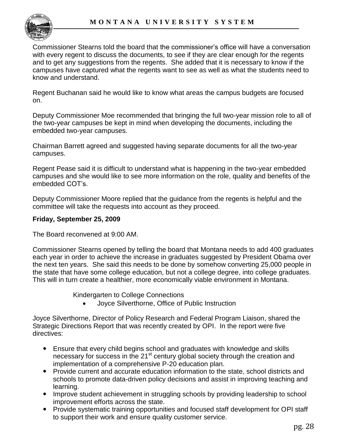

Commissioner Stearns told the board that the commissioner"s office will have a conversation with every regent to discuss the documents, to see if they are clear enough for the regents and to get any suggestions from the regents. She added that it is necessary to know if the campuses have captured what the regents want to see as well as what the students need to know and understand.

Regent Buchanan said he would like to know what areas the campus budgets are focused on.

Deputy Commissioner Moe recommended that bringing the full two-year mission role to all of the two-year campuses be kept in mind when developing the documents, including the embedded two-year campuses.

Chairman Barrett agreed and suggested having separate documents for all the two-year campuses.

Regent Pease said it is difficult to understand what is happening in the two-year embedded campuses and she would like to see more information on the role, quality and benefits of the embedded COT"s.

Deputy Commissioner Moore replied that the guidance from the regents is helpful and the committee will take the requests into account as they proceed.

# **Friday, September 25, 2009**

The Board reconvened at 9:00 AM.

Commissioner Stearns opened by telling the board that Montana needs to add 400 graduates each year in order to achieve the increase in graduates suggested by President Obama over the next ten years. She said this needs to be done by somehow converting 25,000 people in the state that have some college education, but not a college degree, into college graduates. This will in turn create a healthier, more economically viable environment in Montana.

Kindergarten to College Connections

Joyce Silverthorne, Office of Public Instruction

Joyce Silverthorne, Director of Policy Research and Federal Program Liaison, shared the Strategic Directions Report that was recently created by OPI. In the report were five directives:

- Ensure that every child begins school and graduates with knowledge and skills necessary for success in the 21<sup>st</sup> century global society through the creation and implementation of a comprehensive P-20 education plan.
- Provide current and accurate education information to the state, school districts and schools to promote data-driven policy decisions and assist in improving teaching and learning.
- Improve student achievement in struggling schools by providing leadership to school improvement efforts across the state.
- Provide systematic training opportunities and focused staff development for OPI staff to support their work and ensure quality customer service.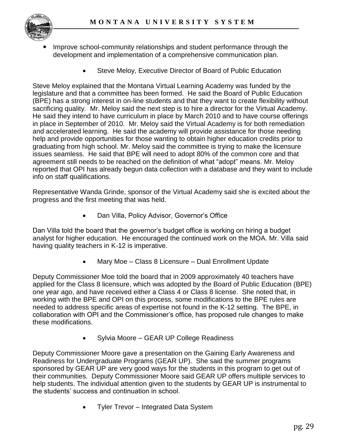

- Improve school-community relationships and student performance through the development and implementation of a comprehensive communication plan.
	- Steve Meloy, Executive Director of Board of Public Education

Steve Meloy explained that the Montana Virtual Learning Academy was funded by the legislature and that a committee has been formed. He said the Board of Public Education (BPE) has a strong interest in on-line students and that they want to create flexibility without sacrificing quality. Mr. Meloy said the next step is to hire a director for the Virtual Academy. He said they intend to have curriculum in place by March 2010 and to have course offerings in place in September of 2010. Mr. Meloy said the Virtual Academy is for both remediation and accelerated learning. He said the academy will provide assistance for those needing help and provide opportunities for those wanting to obtain higher education credits prior to graduating from high school. Mr. Meloy said the committee is trying to make the licensure issues seamless. He said that BPE will need to adopt 80% of the common core and that agreement still needs to be reached on the definition of what "adopt" means. Mr. Meloy reported that OPI has already begun data collection with a database and they want to include info on staff qualifications.

Representative Wanda Grinde, sponsor of the Virtual Academy said she is excited about the progress and the first meeting that was held.

Dan Villa, Policy Advisor, Governor's Office

Dan Villa told the board that the governor"s budget office is working on hiring a budget analyst for higher education. He encouraged the continued work on the MOA. Mr. Villa said having quality teachers in K-12 is imperative.

Mary Moe – Class 8 Licensure – Dual Enrollment Update

Deputy Commissioner Moe told the board that in 2009 approximately 40 teachers have applied for the Class 8 licensure, which was adopted by the Board of Public Education (BPE) one year ago, and have received either a Class 4 or Class 8 license. She noted that, in working with the BPE and OPI on this process, some modifications to the BPE rules are needed to address specific areas of expertise not found in the K-12 setting. The BPE, in collaboration with OPI and the Commissioner"s office, has proposed rule changes to make these modifications.

• Sylvia Moore – GEAR UP College Readiness

Deputy Commissioner Moore gave a presentation on the Gaining Early Awareness and Readiness for Undergraduate Programs (GEAR UP). She said the summer programs sponsored by GEAR UP are very good ways for the students in this program to get out of their communities. Deputy Commissioner Moore said GEAR UP offers multiple services to help students. The individual attention given to the students by GEAR UP is instrumental to the students" success and continuation in school.

Tyler Trevor – Integrated Data System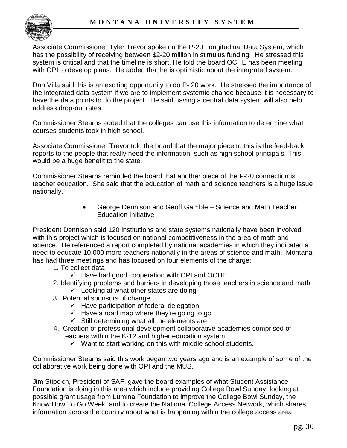Associate Commissioner Tyler Trevor spoke on the P-20 Longitudinal Data System, which has the possibility of receiving between \$2-20 million in stimulus funding. He stressed this system is critical and that the timeline is short. He told the board OCHE has been meeting with OPI to develop plans. He added that he is optimistic about the integrated system.

Dan Villa said this is an exciting opportunity to do P- 20 work. He stressed the importance of the integrated data system if we are to implement systemic change because it is necessary to have the data points to do the project. He said having a central data system will also help address drop-out rates.

Commissioner Stearns added that the colleges can use this information to determine what courses students took in high school.

Associate Commissioner Trevor told the board that the major piece to this is the feed-back reports to the people that really need the information, such as high school principals. This would be a huge benefit to the state.

Commissioner Stearns reminded the board that another piece of the P-20 connection is teacher education. She said that the education of math and science teachers is a huge issue nationally.

> George Dennison and Geoff Gamble – Science and Math Teacher Education Initiative

President Dennison said 120 institutions and state systems nationally have been involved with this project which is focused on national competitiveness in the area of math and science. He referenced a report completed by national academies in which they indicated a need to educate 10,000 more teachers nationally in the areas of science and math. Montana has had three meetings and has focused on four elements of the charge:

- 1. To collect data
	- $\checkmark$  Have had good cooperation with OPI and OCHE
- 2. Identifying problems and barriers in developing those teachers in science and math  $\checkmark$  Looking at what other states are doing
- 3. Potential sponsors of change
	- $\checkmark$  Have participation of federal delegation
	- $\checkmark$  Have a road map where they're going to go
	- $\checkmark$  Still determining what all the elements are
- 4. Creation of professional development collaborative academies comprised of teachers within the K-12 and higher education system
	- $\checkmark$  Want to start working on this with middle school students.

Commissioner Stearns said this work began two years ago and is an example of some of the collaborative work being done with OPI and the MUS.

Jim Stipcich, President of SAF, gave the board examples of what Student Assistance Foundation is doing in this area which include providing College Bowl Sunday, looking at possible grant usage from Lumina Foundation to improve the College Bowl Sunday, the Know How To Go Week, and to create the National College Access Network, which shares information across the country about what is happening within the college access area.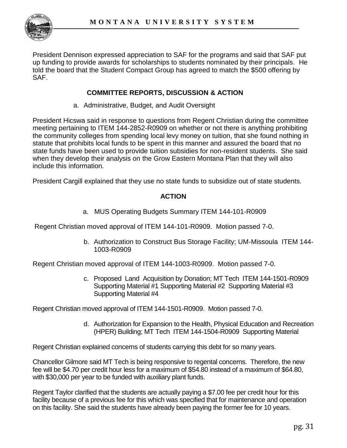

President Dennison expressed appreciation to SAF for the programs and said that SAF put up funding to provide awards for scholarships to students nominated by their principals. He told the board that the Student Compact Group has agreed to match the \$500 offering by SAF.

### **COMMITTEE REPORTS, DISCUSSION & ACTION**

a. Administrative, Budget, and Audit Oversight

President Hicswa said in response to questions from Regent Christian during the committee meeting pertaining to ITEM 144-2852-R0909 on whether or not there is anything prohibiting the community colleges from spending local levy money on tuition, that she found nothing in statute that prohibits local funds to be spent in this manner and assured the board that no state funds have been used to provide tuition subsidies for non-resident students. She said when they develop their analysis on the Grow Eastern Montana Plan that they will also include this information.

President Cargill explained that they use no state funds to subsidize out of state students.

### **ACTION**

a. MUS Operating Budgets Summary ITEM 144-101-R0909

Regent Christian moved approval of ITEM 144-101-R0909. Motion passed 7-0.

b. Authorization to Construct Bus Storage Facility; UM-Missoula ITEM 144- 1003-R0909

Regent Christian moved approval of ITEM 144-1003-R0909. Motion passed 7-0.

c. Proposed Land Acquisition by Donation; MT Tech ITEM 144-1501-R0909 Supporting Material #1 Supporting Material #2 Supporting Material #3 Supporting Material #4

Regent Christian moved approval of ITEM 144-1501-R0909. Motion passed 7-0.

d. Authorization for Expansion to the Health, Physical Education and Recreation (HPER) Building; MT Tech ITEM 144-1504-R0909 Supporting Material

Regent Christian explained concerns of students carrying this debt for so many years.

Chancellor Gilmore said MT Tech is being responsive to regental concerns. Therefore, the new fee will be \$4.70 per credit hour less for a maximum of \$54.80 instead of a maximum of \$64.80, with \$30,000 per year to be funded with auxiliary plant funds.

Regent Taylor clarified that the students are actually paying a \$7.00 fee per credit hour for this facility because of a previous fee for this which was specified that for maintenance and operation on this facility. She said the students have already been paying the former fee for 10 years.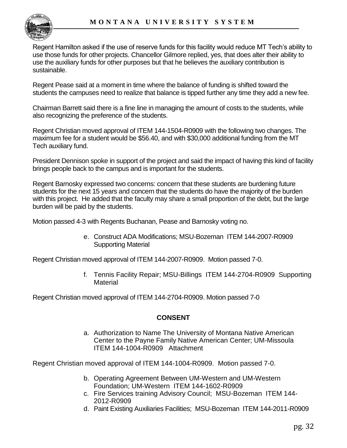

Regent Hamilton asked if the use of reserve funds for this facility would reduce MT Tech"s ability to use those funds for other projects. Chancellor Gilmore replied, yes, that does alter their ability to use the auxiliary funds for other purposes but that he believes the auxiliary contribution is sustainable.

Regent Pease said at a moment in time where the balance of funding is shifted toward the students the campuses need to realize that balance is tipped further any time they add a new fee.

Chairman Barrett said there is a fine line in managing the amount of costs to the students, while also recognizing the preference of the students.

Regent Christian moved approval of ITEM 144-1504-R0909 with the following two changes. The maximum fee for a student would be \$56.40, and with \$30,000 additional funding from the MT Tech auxiliary fund.

President Dennison spoke in support of the project and said the impact of having this kind of facility brings people back to the campus and is important for the students.

Regent Barnosky expressed two concerns: concern that these students are burdening future students for the next 15 years and concern that the students do have the majority of the burden with this project. He added that the faculty may share a small proportion of the debt, but the large burden will be paid by the students.

Motion passed 4-3 with Regents Buchanan, Pease and Barnosky voting no.

e. Construct ADA Modifications; MSU-Bozeman ITEM 144-2007-R0909 Supporting Material

Regent Christian moved approval of ITEM 144-2007-R0909. Motion passed 7-0.

f. Tennis Facility Repair; MSU-Billings ITEM 144-2704-R0909 Supporting **Material** 

Regent Christian moved approval of ITEM 144-2704-R0909. Motion passed 7-0

# **CONSENT**

a. Authorization to Name The University of Montana Native American Center to the Payne Family Native American Center; UM-Missoula ITEM 144-1004-R0909 Attachment

Regent Christian moved approval of ITEM 144-1004-R0909. Motion passed 7-0.

- b. Operating Agreement Between UM-Western and UM-Western Foundation; UM-Western ITEM 144-1602-R0909
- c. Fire Services training Advisory Council; MSU-Bozeman ITEM 144- 2012-R0909
- d. Paint Existing Auxiliaries Facilities; MSU-Bozeman ITEM 144-2011-R0909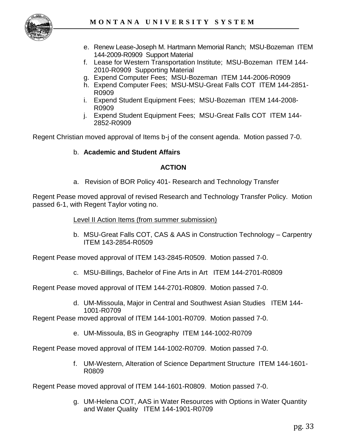- e. Renew Lease-Joseph M. Hartmann Memorial Ranch; MSU-Bozeman ITEM 144-2009-R0909 Support Material
- f. Lease for Western Transportation Institute; MSU-Bozeman ITEM 144- 2010-R0909 Supporting Material
- g. Expend Computer Fees; MSU-Bozeman ITEM 144-2006-R0909
- h. Expend Computer Fees; MSU-MSU-Great Falls COT ITEM 144-2851- R0909
- i. Expend Student Equipment Fees; MSU-Bozeman ITEM 144-2008- R0909
- j. Expend Student Equipment Fees; MSU-Great Falls COT ITEM 144- 2852-R0909

Regent Christian moved approval of Items b-j of the consent agenda. Motion passed 7-0.

#### b. **Academic and Student Affairs**

### **ACTION**

a. Revision of BOR Policy 401- Research and Technology Transfer

Regent Pease moved approval of revised Research and Technology Transfer Policy. Motion passed 6-1, with Regent Taylor voting no.

#### Level II Action Items (from summer submission)

b. MSU-Great Falls COT, CAS & AAS in Construction Technology – Carpentry ITEM 143-2854-R0509

Regent Pease moved approval of ITEM 143-2845-R0509. Motion passed 7-0.

c. MSU-Billings, Bachelor of Fine Arts in Art ITEM 144-2701-R0809

Regent Pease moved approval of ITEM 144-2701-R0809. Motion passed 7-0.

d. UM-Missoula, Major in Central and Southwest Asian Studies ITEM 144- 1001-R0709

Regent Pease moved approval of ITEM 144-1001-R0709. Motion passed 7-0.

e. UM-Missoula, BS in Geography ITEM 144-1002-R0709

Regent Pease moved approval of ITEM 144-1002-R0709. Motion passed 7-0.

f. UM-Western, Alteration of Science Department Structure ITEM 144-1601- R0809

Regent Pease moved approval of ITEM 144-1601-R0809. Motion passed 7-0.

g. UM-Helena COT, AAS in Water Resources with Options in Water Quantity and Water Quality ITEM 144-1901-R0709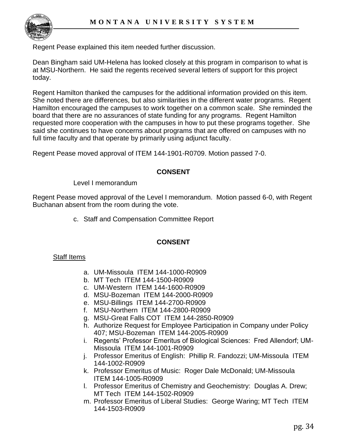Regent Pease explained this item needed further discussion.

Dean Bingham said UM-Helena has looked closely at this program in comparison to what is at MSU-Northern. He said the regents received several letters of support for this project today.

Regent Hamilton thanked the campuses for the additional information provided on this item. She noted there are differences, but also similarities in the different water programs. Regent Hamilton encouraged the campuses to work together on a common scale. She reminded the board that there are no assurances of state funding for any programs. Regent Hamilton requested more cooperation with the campuses in how to put these programs together. She said she continues to have concerns about programs that are offered on campuses with no full time faculty and that operate by primarily using adjunct faculty.

Regent Pease moved approval of ITEM 144-1901-R0709. Motion passed 7-0.

### **CONSENT**

Level I memorandum

Regent Pease moved approval of the Level I memorandum. Motion passed 6-0, with Regent Buchanan absent from the room during the vote.

c. Staff and Compensation Committee Report

# **CONSENT**

#### Staff Items

- a. UM-Missoula ITEM 144-1000-R0909
- b. MT Tech ITEM 144-1500-R0909
- c. UM-Western ITEM 144-1600-R0909
- d. MSU-Bozeman ITEM 144-2000-R0909
- e. MSU-Billings ITEM 144-2700-R0909
- f. MSU-Northern ITEM 144-2800-R0909
- g. MSU-Great Falls COT ITEM 144-2850-R0909
- h. Authorize Request for Employee Participation in Company under Policy 407; MSU-Bozeman ITEM 144-2005-R0909
- i. Regents" Professor Emeritus of Biological Sciences: Fred Allendorf; UM-Missoula ITEM 144-1001-R0909
- j. Professor Emeritus of English: Phillip R. Fandozzi; UM-Missoula ITEM 144-1002-R0909
- k. Professor Emeritus of Music: Roger Dale McDonald; UM-Missoula ITEM 144-1005-R0909
- l. Professor Emeritus of Chemistry and Geochemistry: Douglas A. Drew; MT Tech ITEM 144-1502-R0909
- m. Professor Emeritus of Liberal Studies: George Waring; MT Tech ITEM 144-1503-R0909